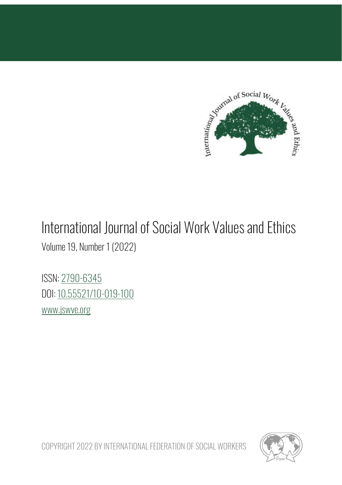

## International Journal of Social Work Values and Ethics

Volume 19, Number 1 (2022)

ISSN: [2790-6345](https://portal.issn.org/resource/ISSN/2790-6345) DOI[: 10.55521/10-019-100](https://doi.org/10.55521/10-019-100) [www.jswve.org](http://www.jswve.org/)

COPYRIGHT 2022 BY INTERNATIONAL FEDERATION OF SOCIAL WORKERS

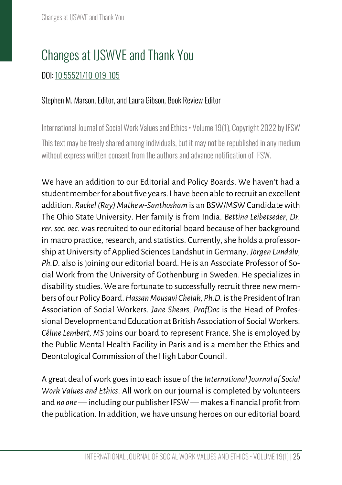## Changes at IJSWVE and Thank You

## DOI[: 10.55521/10-019-105](https://doi.org/10.55521/10-019-105)

## Stephen M. Marson, Editor, and Laura Gibson, Book Review Editor

International Journal of Social Work Values and Ethics • Volume 19(1), Copyright 2022 by IFSW This text may be freely shared among individuals, but it may not be republished in any medium without express written consent from the authors and advance notification of IFSW.

We have an addition to our Editorial and Policy Boards. We haven't had a student member for about five years. I have been able to recruit an excellent addition. *Rachel (Ray) Mathew-Santhosham* is an BSW/MSW Candidate with The Ohio State University. Her family is from India. *Bettina Leibetseder, Dr. rer. soc. oec.* was recruited to our editorial board because of her background in macro practice, research, and statistics. Currently, she holds a professorship at University of Applied Sciences Landshut in Germany. *Jörgen Lundälv, Ph.D*. also is joining our editorial board. He is an Associate Professor of Social Work from the University of Gothenburg in Sweden. He specializes in disability studies. We are fortunate to successfully recruit three new members of our Policy Board. *Hassan Mousavi Chelak, Ph.D.* is the President of Iran Association of Social Workers. *Jane Shears, ProfDoc* is the Head of Professional Development and Education at British Association of Social Workers. *Céline Lembert, MS* joins our board to represent France. She is employed by the Public Mental Health Facility in Paris and is a member the Ethics and Deontological Commission of the High Labor Council.

A great deal of work goes into each issue of the *International Journal of Social Work Values and Ethics*. All work on our journal is completed by volunteers and *no one* — including our publisher IFSW — makes a financial profit from the publication. In addition, we have unsung heroes on our editorial board